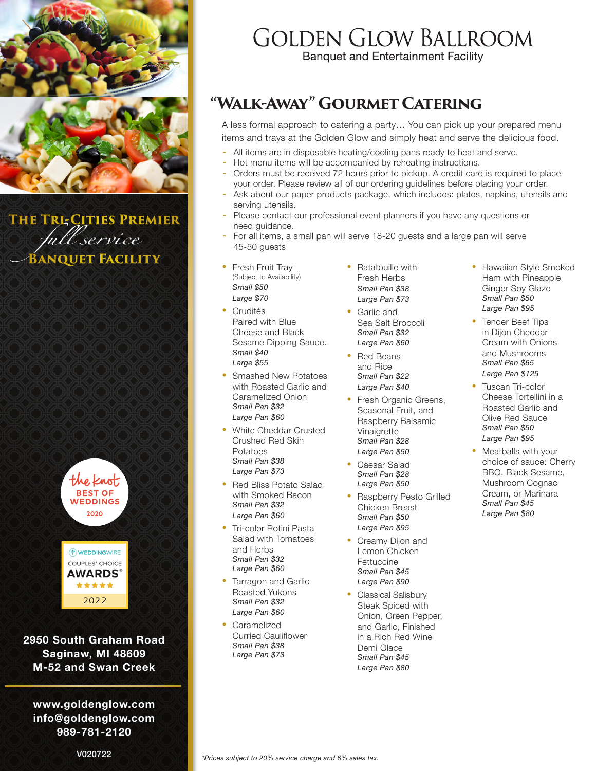

*full service* **The Tri-Cities Premier BANQUET FACILITY** 





**2950 South Graham Road Saginaw, MI 48609 M-52 and Swan Creek**

**www.goldenglow.com info@goldenglow.com 989-781-2120**

## **GOLDEN GLOW BALLROOM**

**Banquet and Entertainment Facility** 

### **"Walk-Away" Gourmet Catering**

A less formal approach to catering a party… You can pick up your prepared menu items and trays at the Golden Glow and simply heat and serve the delicious food.

- All items are in disposable heating/cooling pans ready to heat and serve.
- Hot menu items will be accompanied by reheating instructions.
- Orders must be received 72 hours prior to pickup. A credit card is required to place your order. Please review all of our ordering guidelines before placing your order.
- Ask about our paper products package, which includes: plates, napkins, utensils and serving utensils.
- Please contact our professional event planners if you have any questions or need guidance.
- For all items, a small pan will serve 18-20 guests and a large pan will serve 45-50 guests
- *full service Large \$70* **Fresh Fruit Tray** (Subject to Availability) *Small \$50*
- Crudités Paired with Blue Cheese and Black Sesame Dipping Sauce. *Small \$40 Large \$55*
- Smashed New Potatoes with Roasted Garlic and Caramelized Onion *Small Pan \$32 Large Pan \$60*
- White Cheddar Crusted Crushed Red Skin Potatoes *Small Pan \$38 Large Pan \$73*
- Red Bliss Potato Salad with Smoked Bacon *Small Pan \$32 Large Pan \$60*
- Tri-color Rotini Pasta Salad with Tomatoes and Herbs *Small Pan \$32 Large Pan \$60*
- Tarragon and Garlic Roasted Yukons *Small Pan \$32 Large Pan \$60*
- Caramelized Curried Cauliflower *Small Pan \$38 Large Pan \$73*
- Ratatouille with Fresh Herbs *Small Pan \$38 Large Pan \$73*
- Garlic and Sea Salt Broccoli *Small Pan \$32 Large Pan \$60*
- Red Beans and Rice *Small Pan \$22 Large Pan \$40*
- Fresh Organic Greens, Seasonal Fruit, and Raspberry Balsamic Vinaigrette *Small Pan \$28 Large Pan \$50*
- Caesar Salad *Small Pan \$28 Large Pan \$50*
- Raspberry Pesto Grilled Chicken Breast *Small Pan \$50 Large Pan \$95*
- Creamy Dijon and Lemon Chicken **Fettuccine** *Small Pan \$45 Large Pan \$90*
- y Classical Salisbury Steak Spiced with Onion, Green Pepper, and Garlic, Finished in a Rich Red Wine Demi Glace *Small Pan \$45 Large Pan \$80*
- Hawaiian Style Smoked Ham with Pineapple Ginger Soy Glaze *Small Pan \$50 Large Pan \$95*
- **Tender Beef Tips** in Dijon Cheddar Cream with Onions and Mushrooms *Small Pan \$65 Large Pan \$125*
- Tuscan Tri-color Cheese Tortellini in a Roasted Garlic and Olive Red Sauce *Small Pan \$50 Large Pan \$95*
- Meatballs with your choice of sauce: Cherry BBQ, Black Sesame, Mushroom Cognac Cream, or Marinara *Small Pan \$45 Large Pan \$80*